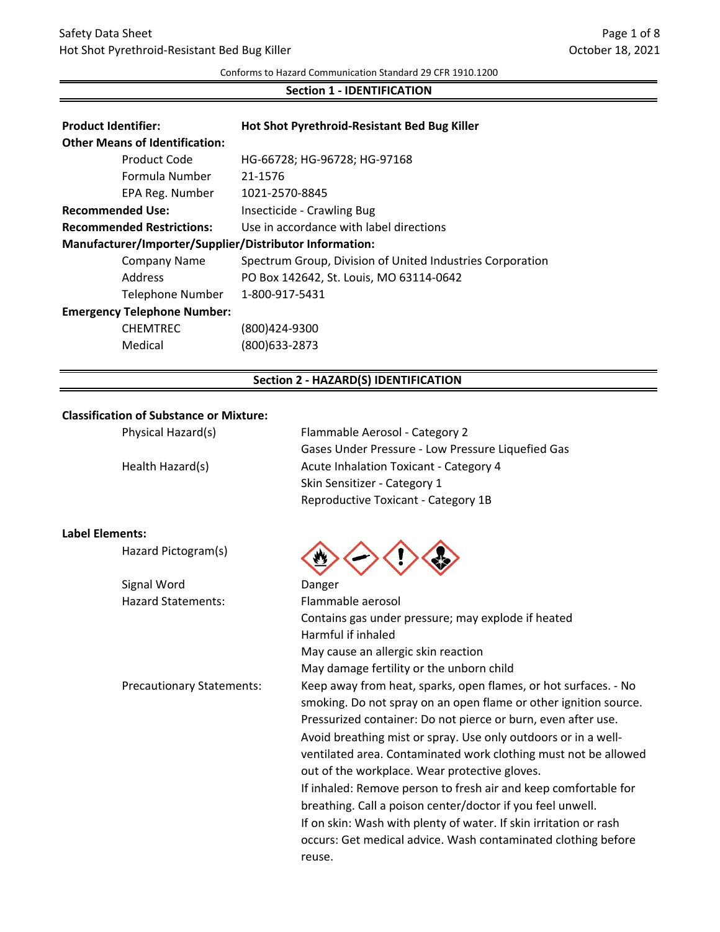# Safety Data Sheet Hot Shot Pyrethroid‐Resistant Bed Bug Killer

Conforms to Hazard Communication Standard 29 CFR 1910.1200

### **Section 1 ‐ IDENTIFICATION**

| <b>Product Identifier:</b>                              | Hot Shot Pyrethroid-Resistant Bed Bug Killer              |  |
|---------------------------------------------------------|-----------------------------------------------------------|--|
| <b>Other Means of Identification:</b>                   |                                                           |  |
| Product Code                                            | HG-66728; HG-96728; HG-97168                              |  |
| Formula Number                                          | 21-1576                                                   |  |
| EPA Reg. Number                                         | 1021-2570-8845                                            |  |
| <b>Recommended Use:</b>                                 | Insecticide - Crawling Bug                                |  |
| <b>Recommended Restrictions:</b>                        | Use in accordance with label directions                   |  |
| Manufacturer/Importer/Supplier/Distributor Information: |                                                           |  |
| Company Name                                            | Spectrum Group, Division of United Industries Corporation |  |
| Address                                                 | PO Box 142642, St. Louis, MO 63114-0642                   |  |
| <b>Telephone Number</b>                                 | 1-800-917-5431                                            |  |
| <b>Emergency Telephone Number:</b>                      |                                                           |  |
| <b>CHEMTREC</b>                                         | (800)424-9300                                             |  |
| Medical                                                 | (800)633-2873                                             |  |

### **Section 2 ‐ HAZARD(S) IDENTIFICATION**

# **Classification of Substance or Mixture:**

**Label Elements:**

| Physical Hazard(s)               | Flammable Aerosol - Category 2<br>Gases Under Pressure - Low Pressure Liquefied Gas |
|----------------------------------|-------------------------------------------------------------------------------------|
| Health Hazard(s)                 | Acute Inhalation Toxicant - Category 4                                              |
|                                  | Skin Sensitizer - Category 1                                                        |
|                                  | Reproductive Toxicant - Category 1B                                                 |
| Elements:                        |                                                                                     |
| Hazard Pictogram(s)              |                                                                                     |
| Signal Word                      | Danger                                                                              |
| <b>Hazard Statements:</b>        | Flammable aerosol                                                                   |
|                                  | Contains gas under pressure; may explode if heated                                  |
|                                  | Harmful if inhaled                                                                  |
|                                  | May cause an allergic skin reaction                                                 |
|                                  | May damage fertility or the unborn child                                            |
| <b>Precautionary Statements:</b> | Keep away from heat, sparks, open flames, or hot surfaces. - No                     |
|                                  | smoking. Do not spray on an open flame or other ignition source.                    |
|                                  | Pressurized container: Do not pierce or burn, even after use.                       |
|                                  | Avoid breathing mist or spray. Use only outdoors or in a well-                      |
|                                  | ventilated area. Contaminated work clothing must not be allowed                     |
|                                  | out of the workplace. Wear protective gloves.                                       |
|                                  | If inhaled: Remove person to fresh air and keep comfortable for                     |
|                                  | breathing. Call a poison center/doctor if you feel unwell.                          |
|                                  | If on skin: Wash with plenty of water. If skin irritation or rash                   |
|                                  | occurs: Get medical advice. Wash contaminated clothing before                       |
|                                  | reuse.                                                                              |
|                                  |                                                                                     |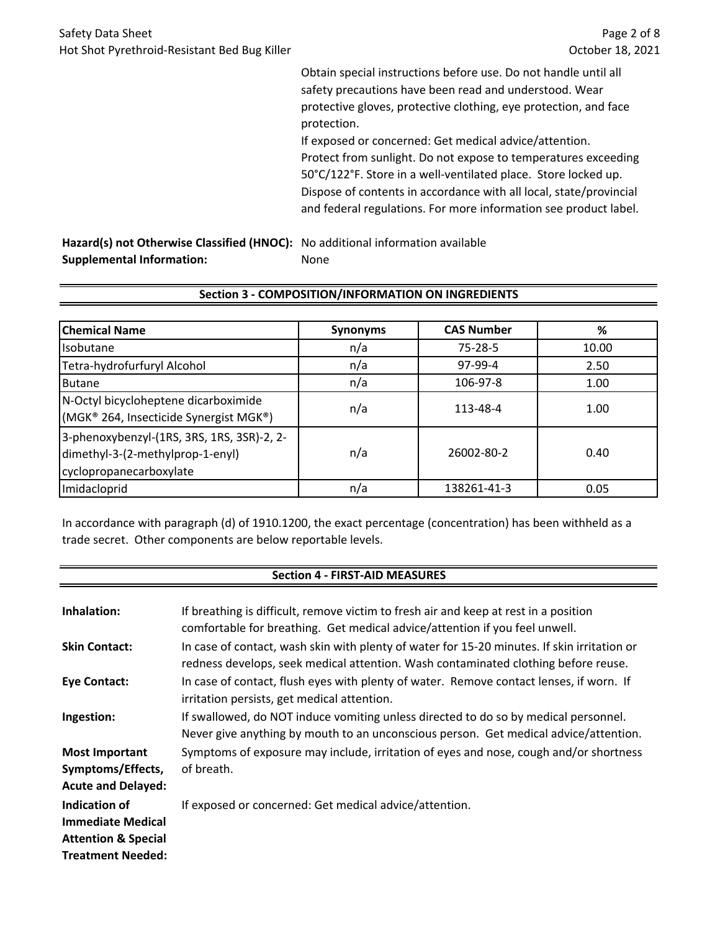Obtain special instructions before use. Do not handle until all safety precautions have been read and understood. Wear protective gloves, protective clothing, eye protection, and face protection.

Protect from sunlight. Do not expose to temperatures exceeding 50°C/122°F. Store in a well‐ventilated place. Store locked up. Dispose of contents in accordance with all local, state/provincial and federal regulations. For more information see product label. If exposed or concerned: Get medical advice/attention.

**Hazard(s) not Otherwise Classified (HNOC):** No additional information available **Supplemental Information:** None

| <b>Chemical Name</b>                                                                                      | <b>Synonyms</b> | <b>CAS Number</b> | %     |
|-----------------------------------------------------------------------------------------------------------|-----------------|-------------------|-------|
| Isobutane                                                                                                 | n/a             | $75 - 28 - 5$     | 10.00 |
| Tetra-hydrofurfuryl Alcohol                                                                               | n/a             | 97-99-4           | 2.50  |
| <b>Butane</b>                                                                                             | n/a             | 106-97-8          | 1.00  |
| N-Octyl bicycloheptene dicarboximide<br>(MGK® 264, Insecticide Synergist MGK®)                            | n/a             | 113-48-4          | 1.00  |
| 3-phenoxybenzyl-(1RS, 3RS, 1RS, 3SR)-2, 2-<br>dimethyl-3-(2-methylprop-1-enyl)<br>cyclopropanecarboxylate | n/a             | 26002-80-2        | 0.40  |
| Imidacloprid                                                                                              | n/a             | 138261-41-3       | 0.05  |

# **Section 3 ‐ COMPOSITION/INFORMATION ON INGREDIENTS**

In accordance with paragraph (d) of 1910.1200, the exact percentage (concentration) has been withheld as a trade secret. Other components are below reportable levels.

## **Section 4 ‐ FIRST‐AID MEASURES**

| Inhalation:                                                                 | If breathing is difficult, remove victim to fresh air and keep at rest in a position<br>comfortable for breathing. Get medical advice/attention if you feel unwell.               |
|-----------------------------------------------------------------------------|-----------------------------------------------------------------------------------------------------------------------------------------------------------------------------------|
| <b>Skin Contact:</b>                                                        | In case of contact, wash skin with plenty of water for 15-20 minutes. If skin irritation or<br>redness develops, seek medical attention. Wash contaminated clothing before reuse. |
| <b>Eye Contact:</b>                                                         | In case of contact, flush eyes with plenty of water. Remove contact lenses, if worn. If<br>irritation persists, get medical attention.                                            |
| Ingestion:                                                                  | If swallowed, do NOT induce vomiting unless directed to do so by medical personnel.<br>Never give anything by mouth to an unconscious person. Get medical advice/attention.       |
| <b>Most Important</b><br>Symptoms/Effects,<br><b>Acute and Delayed:</b>     | Symptoms of exposure may include, irritation of eyes and nose, cough and/or shortness<br>of breath.                                                                               |
| Indication of<br><b>Immediate Medical</b><br><b>Attention &amp; Special</b> | If exposed or concerned: Get medical advice/attention.                                                                                                                            |
| <b>Treatment Needed:</b>                                                    |                                                                                                                                                                                   |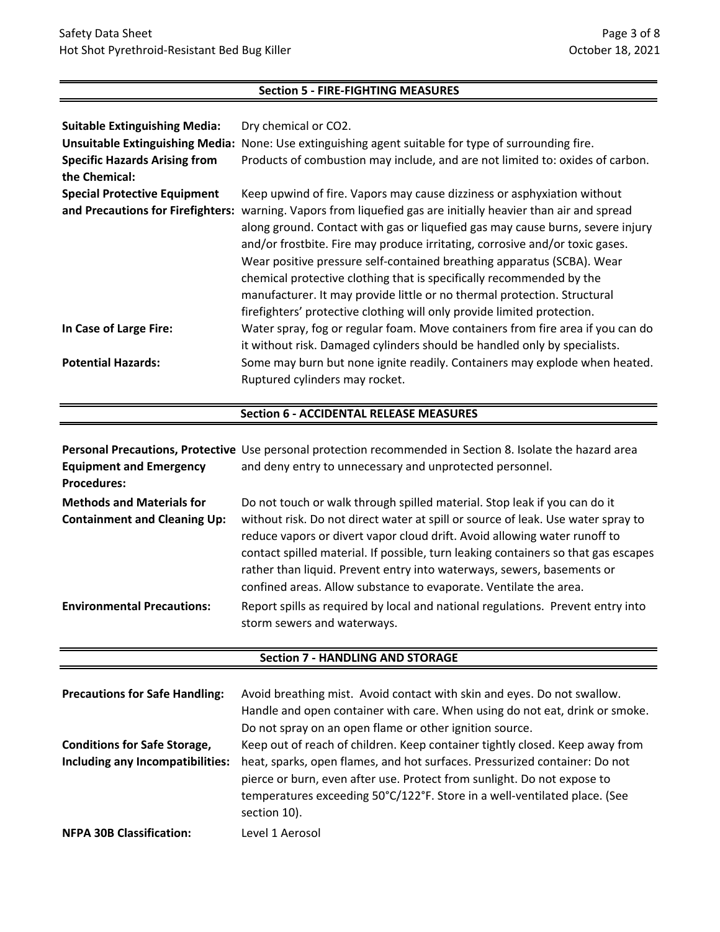## **Section 5 ‐ FIRE‐FIGHTING MEASURES**

| <b>Suitable Extinguishing Media:</b>   | Dry chemical or CO2.                                                           |
|----------------------------------------|--------------------------------------------------------------------------------|
| <b>Unsuitable Extinguishing Media:</b> | None: Use extinguishing agent suitable for type of surrounding fire.           |
| <b>Specific Hazards Arising from</b>   | Products of combustion may include, and are not limited to: oxides of carbon.  |
| the Chemical:                          |                                                                                |
| <b>Special Protective Equipment</b>    | Keep upwind of fire. Vapors may cause dizziness or asphyxiation without        |
| and Precautions for Firefighters:      | warning. Vapors from liquefied gas are initially heavier than air and spread   |
|                                        | along ground. Contact with gas or liquefied gas may cause burns, severe injury |
|                                        | and/or frostbite. Fire may produce irritating, corrosive and/or toxic gases.   |
|                                        | Wear positive pressure self-contained breathing apparatus (SCBA). Wear         |
|                                        | chemical protective clothing that is specifically recommended by the           |
|                                        | manufacturer. It may provide little or no thermal protection. Structural       |
|                                        | firefighters' protective clothing will only provide limited protection.        |
| In Case of Large Fire:                 | Water spray, fog or regular foam. Move containers from fire area if you can do |
|                                        | it without risk. Damaged cylinders should be handled only by specialists.      |
| <b>Potential Hazards:</b>              | Some may burn but none ignite readily. Containers may explode when heated.     |
|                                        | Ruptured cylinders may rocket.                                                 |

# **Section 6 ‐ ACCIDENTAL RELEASE MEASURES**

| <b>Equipment and Emergency</b><br><b>Procedures:</b>                    | Personal Precautions, Protective Use personal protection recommended in Section 8. Isolate the hazard area<br>and deny entry to unnecessary and unprotected personnel.                                                                                                                                                                                                                                                                                                          |
|-------------------------------------------------------------------------|---------------------------------------------------------------------------------------------------------------------------------------------------------------------------------------------------------------------------------------------------------------------------------------------------------------------------------------------------------------------------------------------------------------------------------------------------------------------------------|
| <b>Methods and Materials for</b><br><b>Containment and Cleaning Up:</b> | Do not touch or walk through spilled material. Stop leak if you can do it<br>without risk. Do not direct water at spill or source of leak. Use water spray to<br>reduce vapors or divert vapor cloud drift. Avoid allowing water runoff to<br>contact spilled material. If possible, turn leaking containers so that gas escapes<br>rather than liquid. Prevent entry into waterways, sewers, basements or<br>confined areas. Allow substance to evaporate. Ventilate the area. |
| <b>Environmental Precautions:</b>                                       | Report spills as required by local and national regulations. Prevent entry into<br>storm sewers and waterways.                                                                                                                                                                                                                                                                                                                                                                  |

# **Section 7 ‐ HANDLING AND STORAGE**

| <b>Precautions for Safe Handling:</b>                                   | Avoid breathing mist. Avoid contact with skin and eyes. Do not swallow.<br>Handle and open container with care. When using do not eat, drink or smoke.<br>Do not spray on an open flame or other ignition source.                                                                                                                  |
|-------------------------------------------------------------------------|------------------------------------------------------------------------------------------------------------------------------------------------------------------------------------------------------------------------------------------------------------------------------------------------------------------------------------|
| <b>Conditions for Safe Storage,</b><br>Including any Incompatibilities: | Keep out of reach of children. Keep container tightly closed. Keep away from<br>heat, sparks, open flames, and hot surfaces. Pressurized container: Do not<br>pierce or burn, even after use. Protect from sunlight. Do not expose to<br>temperatures exceeding 50°C/122°F. Store in a well-ventilated place. (See<br>section 10). |
| <b>NFPA 30B Classification:</b>                                         | Level 1 Aerosol                                                                                                                                                                                                                                                                                                                    |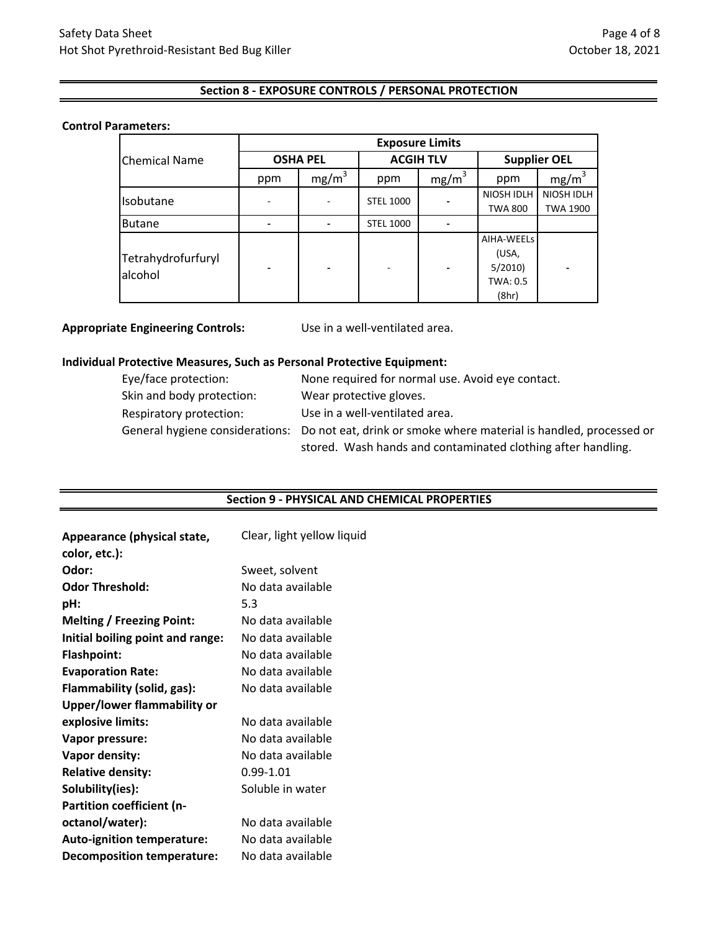## **Section 8 ‐ EXPOSURE CONTROLS / PERSONAL PROTECTION**

### **Control Parameters:**

|                      | <b>Exposure Limits</b>   |                   |                  |                   |                     |                   |
|----------------------|--------------------------|-------------------|------------------|-------------------|---------------------|-------------------|
| <b>Chemical Name</b> | <b>OSHA PEL</b>          |                   | <b>ACGIH TLV</b> |                   | <b>Supplier OEL</b> |                   |
|                      | ppm                      | mg/m <sup>3</sup> | ppm              | mg/m <sup>3</sup> | ppm                 | mg/m <sup>3</sup> |
| Isobutane            |                          |                   | <b>STEL 1000</b> |                   | NIOSH IDLH          | NIOSH IDLH        |
|                      |                          |                   |                  |                   | <b>TWA 800</b>      | <b>TWA 1900</b>   |
| <b>Butane</b>        |                          |                   | <b>STEL 1000</b> |                   |                     |                   |
|                      |                          |                   |                  |                   | AIHA-WEELS          |                   |
| Tetrahydrofurfuryl   |                          |                   |                  |                   | (USA,               |                   |
| alcohol              | $\overline{\phantom{0}}$ |                   |                  |                   | 5/2010              |                   |
|                      |                          |                   |                  |                   | TWA: 0.5            |                   |
|                      |                          |                   |                  |                   | (8hr)               |                   |

**Appropriate Engineering Controls:**

Use in a well‐ventilated area.

### **Individual Protective Measures, Such as Personal Protective Equipment:**

| Eye/face protection:      | None required for normal use. Avoid eye contact.                                                                                                                   |
|---------------------------|--------------------------------------------------------------------------------------------------------------------------------------------------------------------|
| Skin and body protection: | Wear protective gloves.                                                                                                                                            |
| Respiratory protection:   | Use in a well-ventilated area.                                                                                                                                     |
|                           | General hygiene considerations: Do not eat, drink or smoke where material is handled, processed or<br>stored. Wash hands and contaminated clothing after handling. |

#### **Section 9 ‐ PHYSICAL AND CHEMICAL PROPERTIES**

| Appearance (physical state,       | Clear, light yellow liquid |
|-----------------------------------|----------------------------|
| color, etc.):                     |                            |
| Odor:                             | Sweet, solvent             |
| <b>Odor Threshold:</b>            | No data available          |
| pH:                               | 5.3                        |
| <b>Melting / Freezing Point:</b>  | No data available          |
| Initial boiling point and range:  | No data available          |
| <b>Flashpoint:</b>                | No data available          |
| <b>Evaporation Rate:</b>          | No data available          |
| Flammability (solid, gas):        | No data available          |
| Upper/lower flammability or       |                            |
| explosive limits:                 | No data available          |
| Vapor pressure:                   | No data available          |
| Vapor density:                    | No data available          |
| <b>Relative density:</b>          | $0.99 - 1.01$              |
| Solubility(ies):                  | Soluble in water           |
| <b>Partition coefficient (n-</b>  |                            |
| octanol/water):                   | No data available          |
| <b>Auto-ignition temperature:</b> | No data available          |
| <b>Decomposition temperature:</b> | No data available          |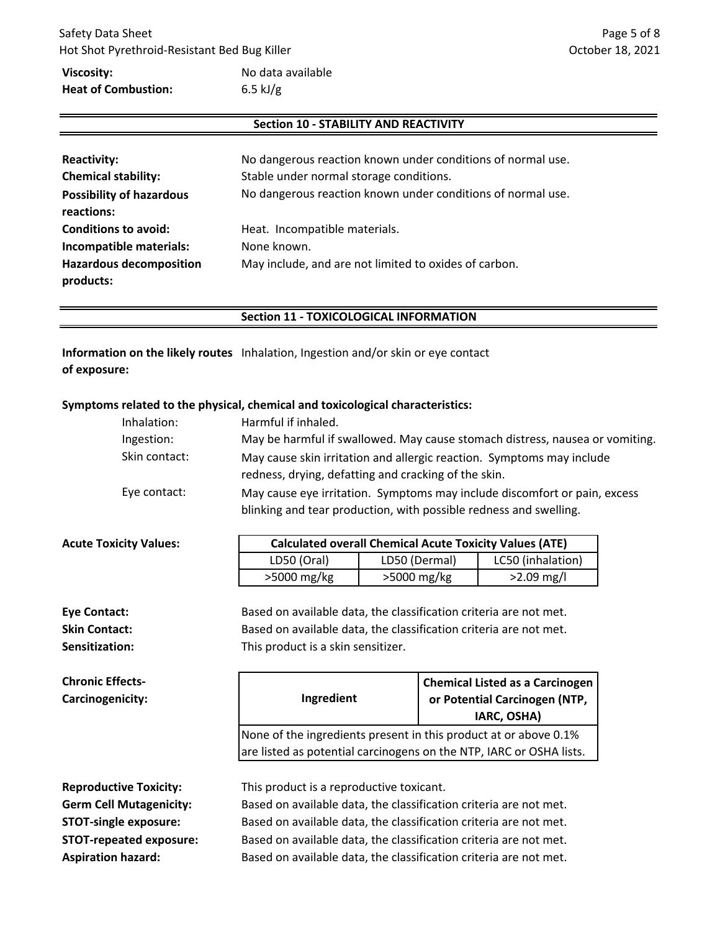# Safety Data Sheet Hot Shot Pyrethroid‐Resistant Bed Bug Killer

# **Viscosity: Heat of Combustion:**

# No data available 6.5 kJ/g

# **Section 10 ‐ STABILITY AND REACTIVITY**

| <b>Reactivity:</b><br><b>Chemical stability:</b><br><b>Possibility of hazardous</b><br>reactions: | No dangerous reaction known under conditions of normal use.<br>Stable under normal storage conditions.<br>No dangerous reaction known under conditions of normal use. |
|---------------------------------------------------------------------------------------------------|-----------------------------------------------------------------------------------------------------------------------------------------------------------------------|
| <b>Conditions to avoid:</b><br>Incompatible materials:                                            | Heat. Incompatible materials.<br>None known.                                                                                                                          |
| <b>Hazardous decomposition</b><br>products:                                                       | May include, and are not limited to oxides of carbon.                                                                                                                 |

## **Section 11 ‐ TOXICOLOGICAL INFORMATION**

Information on the likely routes Inhalation, Ingestion and/or skin or eye contact **of exposure:**

## **Symptoms related to the physical, chemical and toxicological characteristics:**

| Inhalation:   | Harmful if inhaled.                                                                                                                            |
|---------------|------------------------------------------------------------------------------------------------------------------------------------------------|
| Ingestion:    | May be harmful if swallowed. May cause stomach distress, nausea or vomiting.                                                                   |
| Skin contact: | May cause skin irritation and allergic reaction. Symptoms may include<br>redness, drying, defatting and cracking of the skin.                  |
| Eye contact:  | May cause eye irritation. Symptoms may include discomfort or pain, excess<br>blinking and tear production, with possible redness and swelling. |

| <b>Acute Toxicity Values:</b> | <b>Calculated overall Chemical Acute Toxicity Values (ATE)</b> |               |                   |
|-------------------------------|----------------------------------------------------------------|---------------|-------------------|
|                               | LD50 (Oral)                                                    | LD50 (Dermal) | LC50 (inhalation) |
|                               | >5000 mg/kg                                                    | >5000 mg/kg   | $>2.09$ mg/l      |

**Chronic Effects‐ Carcinogenicity:**

**Sensitization:** This product is a skin sensitizer. **Eye Contact:** Based on available data, the classification criteria are not met. **Skin Contact:** Based on available data, the classification criteria are not met.

# **Ingredient Chemical Listed as a Carcinogen or Potential Carcinogen (NTP, IARC, OSHA)** None of the ingredients present in this product at or above 0.1% are listed as potential carcinogens on the NTP, IARC or OSHA lists.

**Reproductive Toxicity: Germ Cell Mutagenicity: STOT‐single exposure: STOT‐repeated exposure: Aspiration hazard:**

This product is a reproductive toxicant.

Based on available data, the classification criteria are not met. Based on available data, the classification criteria are not met. Based on available data, the classification criteria are not met. Based on available data, the classification criteria are not met.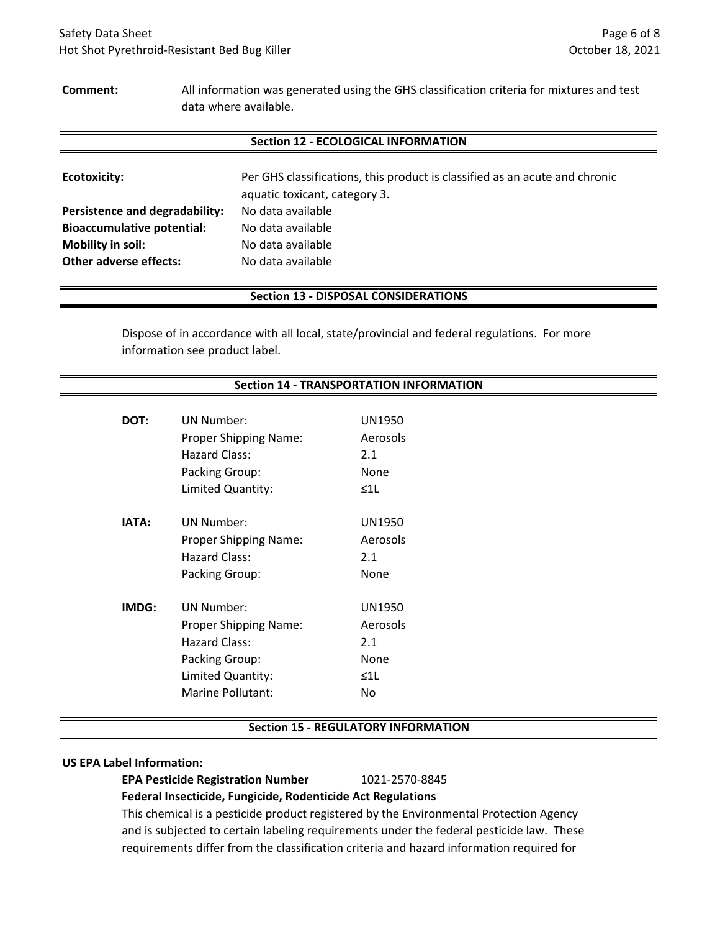### **Comment:**

All information was generated using the GHS classification criteria for mixtures and test data where available.

### **Section 12 ‐ ECOLOGICAL INFORMATION**

| <b>Ecotoxicity:</b>               | Per GHS classifications, this product is classified as an acute and chronic<br>aquatic toxicant, category 3. |
|-----------------------------------|--------------------------------------------------------------------------------------------------------------|
| Persistence and degradability:    | No data available                                                                                            |
| <b>Bioaccumulative potential:</b> | No data available                                                                                            |
| Mobility in soil:                 | No data available                                                                                            |
| <b>Other adverse effects:</b>     | No data available                                                                                            |

### **Section 13 ‐ DISPOSAL CONSIDERATIONS**

Dispose of in accordance with all local, state/provincial and federal regulations. For more information see product label.

## **Section 14 ‐ TRANSPORTATION INFORMATION**

| DOT:         | UN Number:<br><b>Proper Shipping Name:</b><br>Hazard Class:<br>Packing Group:<br>Limited Quantity:                      | UN1950<br>Aerosols<br>2.1<br>None<br>$\leq$ 1 $\lfloor$     |
|--------------|-------------------------------------------------------------------------------------------------------------------------|-------------------------------------------------------------|
| <b>IATA:</b> | UN Number:<br><b>Proper Shipping Name:</b><br>Hazard Class:<br>Packing Group:                                           | <b>UN1950</b><br>Aerosols<br>2.1<br>None                    |
| IMDG:        | <b>UN Number:</b><br>Proper Shipping Name:<br>Hazard Class:<br>Packing Group:<br>Limited Quantity:<br>Marine Pollutant: | <b>UN1950</b><br>Aerosols<br>2.1<br>None<br>$\leq$ 11<br>No |

### **Section 15 ‐ REGULATORY INFORMATION**

#### **US EPA Label Information:**

**EPA Pesticide Registration Number** 1021‐2570‐8845

**Federal Insecticide, Fungicide, Rodenticide Act Regulations**

This chemical is a pesticide product registered by the Environmental Protection Agency and is subjected to certain labeling requirements under the federal pesticide law. These requirements differ from the classification criteria and hazard information required for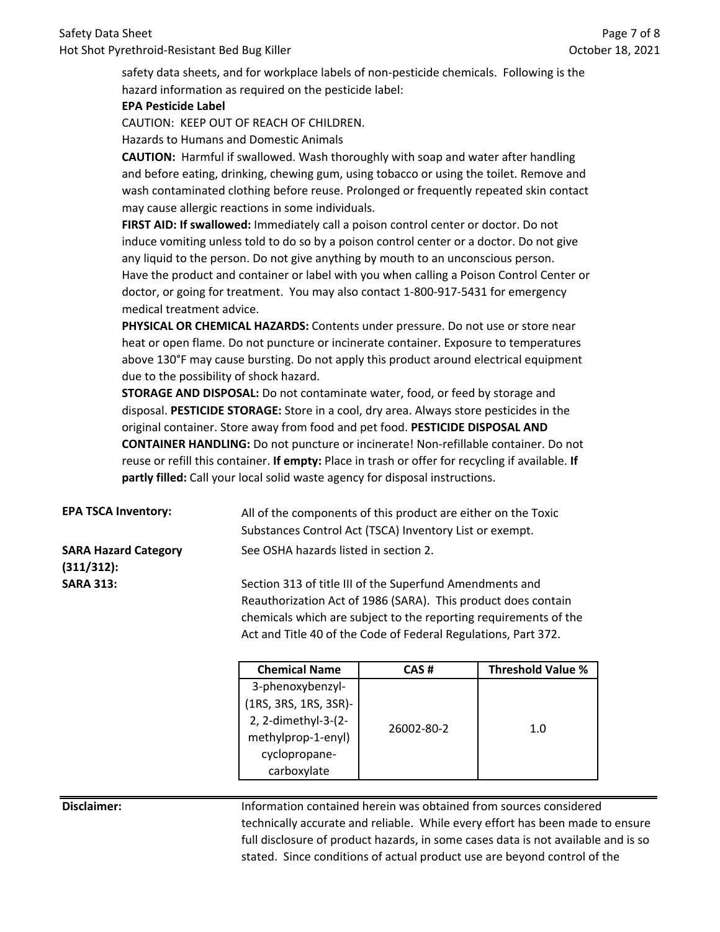safety data sheets, and for workplace labels of non-pesticide chemicals. Following is the hazard information as required on the pesticide label:

## **EPA Pesticide Label**

CAUTION: KEEP OUT OF REACH OF CHILDREN.

Hazards to Humans and Domestic Animals

**CAUTION:** Harmful if swallowed. Wash thoroughly with soap and water after handling and before eating, drinking, chewing gum, using tobacco or using the toilet. Remove and wash contaminated clothing before reuse. Prolonged or frequently repeated skin contact may cause allergic reactions in some individuals.

**FIRST AID: If swallowed:** Immediately call a poison control center or doctor. Do not induce vomiting unless told to do so by a poison control center or a doctor. Do not give any liquid to the person. Do not give anything by mouth to an unconscious person. Have the product and container or label with you when calling a Poison Control Center or doctor, or going for treatment. You may also contact 1‐800‐917‐5431 for emergency medical treatment advice.

**PHYSICAL OR CHEMICAL HAZARDS:** Contents under pressure. Do not use or store near heat or open flame. Do not puncture or incinerate container. Exposure to temperatures above 130°F may cause bursting. Do not apply this product around electrical equipment due to the possibility of shock hazard.

**STORAGE AND DISPOSAL:** Do not contaminate water, food, or feed by storage and disposal. **PESTICIDE STORAGE:** Store in a cool, dry area. Always store pesticides in the original container. Store away from food and pet food. **PESTICIDE DISPOSAL AND CONTAINER HANDLING:** Do not puncture or incinerate! Non‐refillable container. Do not reuse or refill this container. **If empty:** Place in trash or offer for recycling if available. **If partly filled:** Call your local solid waste agency for disposal instructions.

| <b>EPA TSCA Inventory:</b>  | All of the components of this product are either on the Toxic |  |
|-----------------------------|---------------------------------------------------------------|--|
|                             | Substances Control Act (TSCA) Inventory List or exempt.       |  |
| <b>SARA Hazard Category</b> | See OSHA hazards listed in section 2.                         |  |
| $(311/312)$ :               |                                                               |  |

**SARA 313:** Section 313 of title III of the Superfund Amendments and Reauthorization Act of 1986 (SARA). This product does contain chemicals which are subject to the reporting requirements of the Act and Title 40 of the Code of Federal Regulations, Part 372.

| <b>Chemical Name</b>  | CAS #      | <b>Threshold Value %</b> |
|-----------------------|------------|--------------------------|
| 3-phenoxybenzyl-      |            |                          |
| (1RS, 3RS, 1RS, 3SR)- |            |                          |
| 2, 2-dimethyl-3-(2-   | 26002-80-2 | 1.0                      |
| methylprop-1-enyl)    |            |                          |
| cyclopropane-         |            |                          |
| carboxylate           |            |                          |

**Disclaimer:** Information contained herein was obtained from sources considered technically accurate and reliable. While every effort has been made to ensure full disclosure of product hazards, in some cases data is not available and is so stated. Since conditions of actual product use are beyond control of the